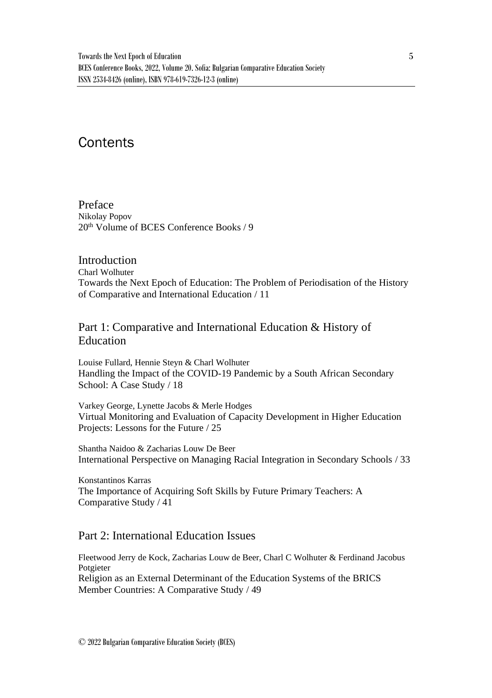# **Contents**

Preface Nikolay Popov 20<sup>th</sup> Volume of BCES Conference Books / 9

### **Introduction**

Charl Wolhuter Towards the Next Epoch of Education: The Problem of Periodisation of the History of Comparative and International Education / 11

# Part 1: Comparative and International Education & History of Education

Louise Fullard, Hennie Steyn & Charl Wolhuter Handling the Impact of the COVID-19 Pandemic by a South African Secondary School: A Case Study / 18

Varkey George, Lynette Jacobs & Merle Hodges Virtual Monitoring and Evaluation of Capacity Development in Higher Education Projects: Lessons for the Future / 25

Shantha Naidoo & Zacharias Louw De Beer International Perspective on Managing Racial Integration in Secondary Schools / 33

Konstantinos Karras The Importance of Acquiring Soft Skills by Future Primary Teachers: A Comparative Study / 41

# Part 2: International Education Issues

Fleetwood Jerry de Kock, Zacharias Louw de Beer, Charl C Wolhuter & Ferdinand Jacobus Potgieter Religion as an External Determinant of the Education Systems of the BRICS Member Countries: A Comparative Study / 49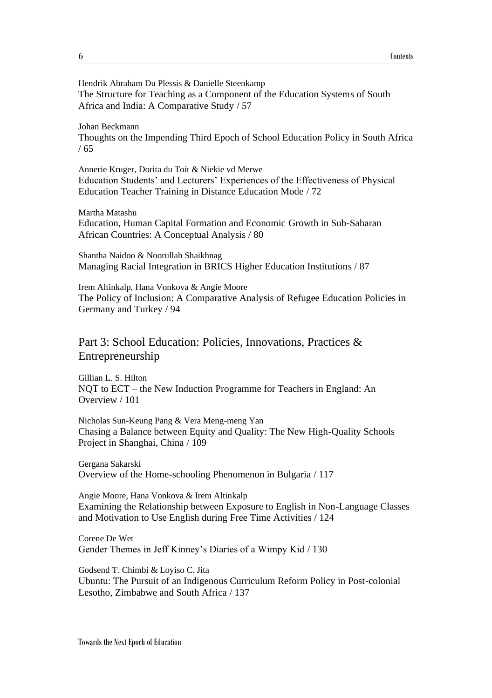Hendrik Abraham Du Plessis & Danielle Steenkamp The Structure for Teaching as a Component of the Education Systems of South Africa and India: A Comparative Study / 57

#### Johan Beckmann

Thoughts on the Impending Third Epoch of School Education Policy in South Africa / 65

Annerie Kruger, Dorita du Toit & Niekie vd Merwe Education Students' and Lecturers' Experiences of the Effectiveness of Physical Education Teacher Training in Distance Education Mode / 72

#### Martha Matashu

Education, Human Capital Formation and Economic Growth in Sub-Saharan African Countries: A Conceptual Analysis / 80

Shantha Naidoo & Noorullah Shaikhnag Managing Racial Integration in BRICS Higher Education Institutions / 87

Irem Altinkalp, Hana Vonkova & Angie Moore The Policy of Inclusion: A Comparative Analysis of Refugee Education Policies in Germany and Turkey / 94

# Part 3: School Education: Policies, Innovations, Practices & Entrepreneurship

Gillian L. S. Hilton NQT to ECT – the New Induction Programme for Teachers in England: An Overview / 101

Nicholas Sun-Keung Pang & Vera Meng-meng Yan Chasing a Balance between Equity and Quality: The New High-Quality Schools Project in Shanghai, China / 109

Gergana Sakarski Overview of the Home-schooling Phenomenon in Bulgaria / 117

Angie Moore, Hana Vonkova & Irem Altinkalp Examining the Relationship between Exposure to English in Non-Language Classes and Motivation to Use English during Free Time Activities / 124

Corene De Wet Gender Themes in Jeff Kinney's Diaries of a Wimpy Kid / 130

Godsend T. Chimbi & Loyiso C. Jita Ubuntu: The Pursuit of an Indigenous Curriculum Reform Policy in Post-colonial Lesotho, Zimbabwe and South Africa / 137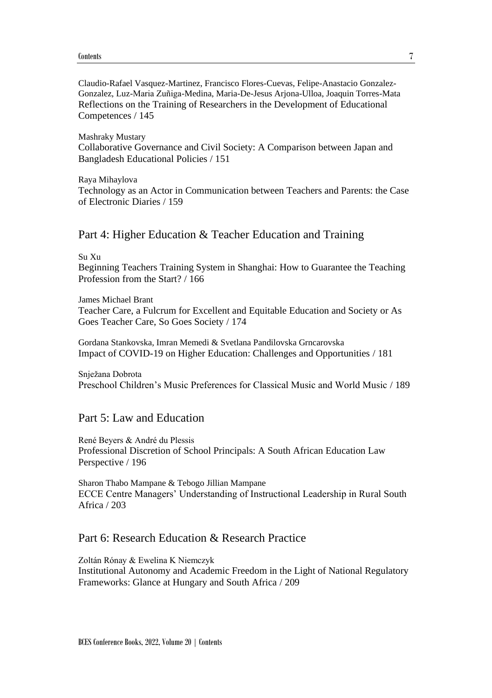Claudio-Rafael Vasquez-Martinez, Francisco Flores-Cuevas, Felipe-Anastacio Gonzalez-Gonzalez, Luz-Maria Zuñiga-Medina, Maria-De-Jesus Arjona-Ulloa, Joaquin Torres-Mata Reflections on the Training of Researchers in the Development of Educational Competences / 145

Mashraky Mustary Collaborative Governance and Civil Society: A Comparison between Japan and Bangladesh Educational Policies / 151

Raya Mihaylova

Technology as an Actor in Communication between Teachers and Parents: the Case of Electronic Diaries / 159

### Part 4: Higher Education & Teacher Education and Training

Su Xu

Beginning Teachers Training System in Shanghai: How to Guarantee the Teaching Profession from the Start? / 166

James Michael Brant

Teacher Care, a Fulcrum for Excellent and Equitable Education and Society or As Goes Teacher Care, So Goes Society / 174

Gordana Stankovska, Imran Memedi & Svetlana Pandilovska Grncarovska Impact of COVID-19 on Higher Education: Challenges and Opportunities / 181

Snježana Dobrota Preschool Children's Music Preferences for Classical Music and World Music / 189

## Part 5: Law and Education

René Beyers & André du Plessis Professional Discretion of School Principals: A South African Education Law Perspective / 196

Sharon Thabo Mampane & Tebogo Jillian Mampane ECCE Centre Managers' Understanding of Instructional Leadership in Rural South Africa / 203

## Part 6: Research Education & Research Practice

Zoltán Rónay & Ewelina K Niemczyk Institutional Autonomy and Academic Freedom in the Light of National Regulatory Frameworks: Glance at Hungary and South Africa / 209